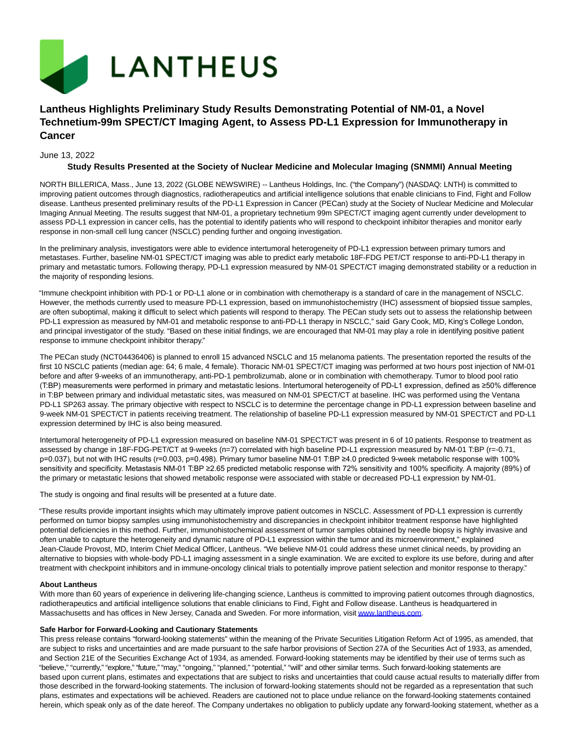

# **Lantheus Highlights Preliminary Study Results Demonstrating Potential of NM-01, a Novel Technetium-99m SPECT/CT Imaging Agent, to Assess PD-L1 Expression for Immunotherapy in Cancer**

# June 13, 2022

# **Study Results Presented at the Society of Nuclear Medicine and Molecular Imaging (SNMMI) Annual Meeting**

NORTH BILLERICA, Mass., June 13, 2022 (GLOBE NEWSWIRE) -- Lantheus Holdings, Inc. ("the Company") (NASDAQ: LNTH) is committed to improving patient outcomes through diagnostics, radiotherapeutics and artificial intelligence solutions that enable clinicians to Find, Fight and Follow disease. Lantheus presented preliminary results of the PD-L1 Expression in Cancer (PECan) study at the Society of Nuclear Medicine and Molecular Imaging Annual Meeting. The results suggest that NM-01, a proprietary technetium 99m SPECT/CT imaging agent currently under development to assess PD-L1 expression in cancer cells, has the potential to identify patients who will respond to checkpoint inhibitor therapies and monitor early response in non-small cell lung cancer (NSCLC) pending further and ongoing investigation.

In the preliminary analysis, investigators were able to evidence intertumoral heterogeneity of PD-L1 expression between primary tumors and metastases. Further, baseline NM-01 SPECT/CT imaging was able to predict early metabolic 18F-FDG PET/CT response to anti-PD-L1 therapy in primary and metastatic tumors. Following therapy, PD-L1 expression measured by NM-01 SPECT/CT imaging demonstrated stability or a reduction in the majority of responding lesions.

"Immune checkpoint inhibition with PD-1 or PD-L1 alone or in combination with chemotherapy is a standard of care in the management of NSCLC. However, the methods currently used to measure PD-L1 expression, based on immunohistochemistry (IHC) assessment of biopsied tissue samples, are often suboptimal, making it difficult to select which patients will respond to therapy. The PECan study sets out to assess the relationship between PD-L1 expression as measured by NM-01 and metabolic response to anti-PD-L1 therapy in NSCLC," said Gary Cook, MD, King's College London, and principal investigator of the study. "Based on these initial findings, we are encouraged that NM-01 may play a role in identifying positive patient response to immune checkpoint inhibitor therapy."

The PECan study (NCT04436406) is planned to enroll 15 advanced NSCLC and 15 melanoma patients. The presentation reported the results of the first 10 NSCLC patients (median age: 64; 6 male, 4 female). Thoracic NM-01 SPECT/CT imaging was performed at two hours post injection of NM-01 before and after 9-weeks of an immunotherapy, anti-PD-1 pembrolizumab, alone or in combination with chemotherapy. Tumor to blood pool ratio (T:BP) measurements were performed in primary and metastatic lesions. Intertumoral heterogeneity of PD-L1 expression, defined as ≥50% difference in T:BP between primary and individual metastatic sites, was measured on NM-01 SPECT/CT at baseline. IHC was performed using the Ventana PD-L1 SP263 assay. The primary objective with respect to NSCLC is to determine the percentage change in PD-L1 expression between baseline and 9-week NM-01 SPECT/CT in patients receiving treatment. The relationship of baseline PD-L1 expression measured by NM-01 SPECT/CT and PD-L1 expression determined by IHC is also being measured.

Intertumoral heterogeneity of PD-L1 expression measured on baseline NM-01 SPECT/CT was present in 6 of 10 patients. Response to treatment as assessed by change in 18F-FDG-PET/CT at 9-weeks (n=7) correlated with high baseline PD-L1 expression measured by NM-01 T:BP (r=-0.71, p=0.037), but not with IHC results (r=0.003, p=0.498). Primary tumor baseline NM-01 T:BP ≥4.0 predicted 9-week metabolic response with 100% sensitivity and specificity. Metastasis NM-01 T:BP ≥2.65 predicted metabolic response with 72% sensitivity and 100% specificity. A majority (89%) of the primary or metastatic lesions that showed metabolic response were associated with stable or decreased PD-L1 expression by NM-01.

The study is ongoing and final results will be presented at a future date.

"These results provide important insights which may ultimately improve patient outcomes in NSCLC. Assessment of PD-L1 expression is currently performed on tumor biopsy samples using immunohistochemistry and discrepancies in checkpoint inhibitor treatment response have highlighted potential deficiencies in this method. Further, immunohistochemical assessment of tumor samples obtained by needle biopsy is highly invasive and often unable to capture the heterogeneity and dynamic nature of PD-L1 expression within the tumor and its microenvironment," explained Jean-Claude Provost, MD, Interim Chief Medical Officer, Lantheus. "We believe NM-01 could address these unmet clinical needs, by providing an alternative to biopsies with whole-body PD-L1 imaging assessment in a single examination. We are excited to explore its use before, during and after treatment with checkpoint inhibitors and in immune-oncology clinical trials to potentially improve patient selection and monitor response to therapy."

### **About Lantheus**

With more than 60 years of experience in delivering life-changing science, Lantheus is committed to improving patient outcomes through diagnostics, radiotherapeutics and artificial intelligence solutions that enable clinicians to Find, Fight and Follow disease. Lantheus is headquartered in Massachusetts and has offices in New Jersey, Canada and Sweden. For more information, visi[t www.lantheus.com.](https://www.globenewswire.com/Tracker?data=XqnfTt2V9YonJBFeuYHzH75hekHG4eHH-hFc7NAu_-xpySc0XSoKxGgR2Gubr4-xtayrknp5Z8TwSbdbUPSTig==)

### **Safe Harbor for Forward-Looking and Cautionary Statements**

This press release contains "forward-looking statements" within the meaning of the Private Securities Litigation Reform Act of 1995, as amended, that are subject to risks and uncertainties and are made pursuant to the safe harbor provisions of Section 27A of the Securities Act of 1933, as amended, and Section 21E of the Securities Exchange Act of 1934, as amended. Forward-looking statements may be identified by their use of terms such as "believe," "currently," "explore," "future," "may," "ongoing," "planned," "potential," "will" and other similar terms. Such forward-looking statements are based upon current plans, estimates and expectations that are subject to risks and uncertainties that could cause actual results to materially differ from those described in the forward-looking statements. The inclusion of forward-looking statements should not be regarded as a representation that such plans, estimates and expectations will be achieved. Readers are cautioned not to place undue reliance on the forward-looking statements contained herein, which speak only as of the date hereof. The Company undertakes no obligation to publicly update any forward-looking statement, whether as a